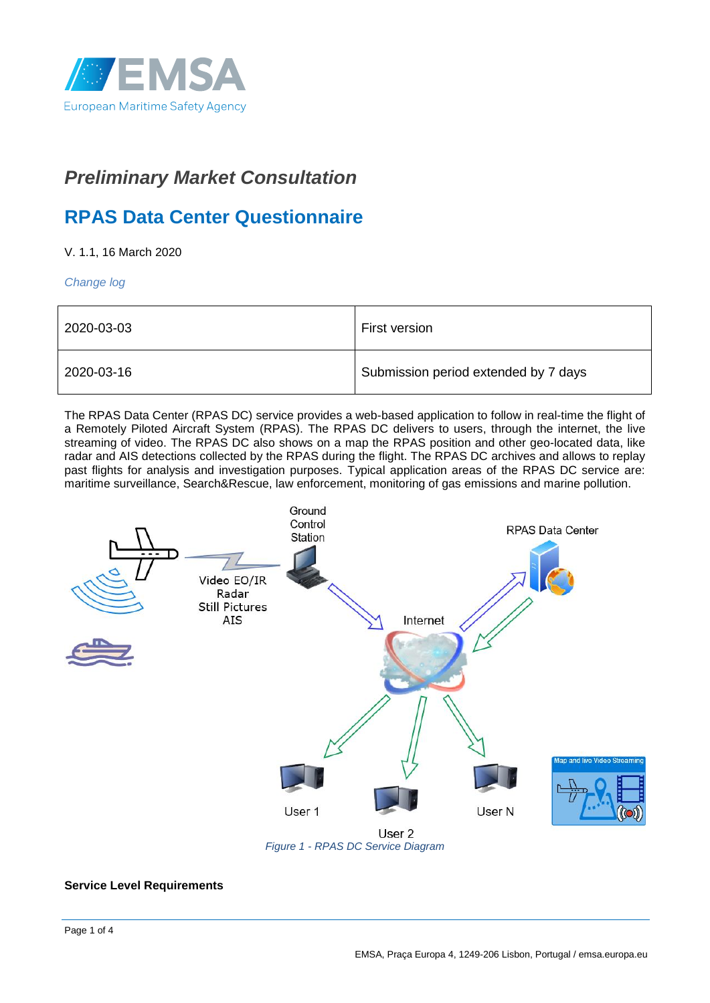

# *Preliminary Market Consultation*

## **RPAS Data Center Questionnaire**

V. 1.1, 16 March 2020

*Change log*

| 2020-03-03 | First version                        |
|------------|--------------------------------------|
| 2020-03-16 | Submission period extended by 7 days |

The RPAS Data Center (RPAS DC) service provides a web-based application to follow in real-time the flight of a Remotely Piloted Aircraft System (RPAS). The RPAS DC delivers to users, through the internet, the live streaming of video. The RPAS DC also shows on a map the RPAS position and other geo-located data, like radar and AIS detections collected by the RPAS during the flight. The RPAS DC archives and allows to replay past flights for analysis and investigation purposes. Typical application areas of the RPAS DC service are: maritime surveillance, Search&Rescue, law enforcement, monitoring of gas emissions and marine pollution.



#### **Service Level Requirements**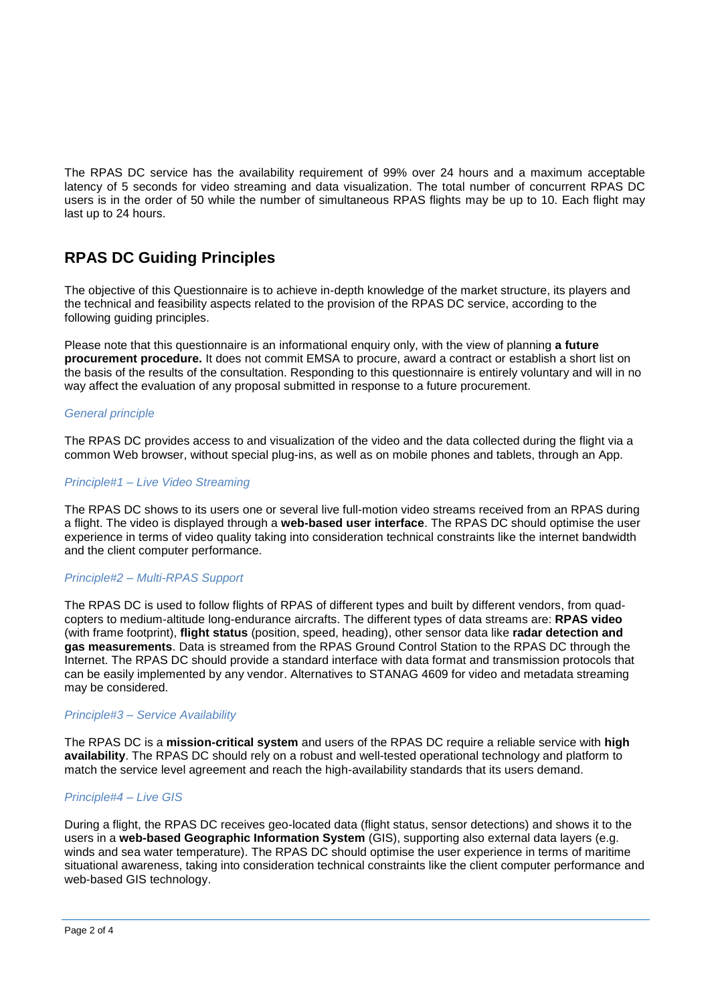The RPAS DC service has the availability requirement of 99% over 24 hours and a maximum acceptable latency of 5 seconds for video streaming and data visualization. The total number of concurrent RPAS DC users is in the order of 50 while the number of simultaneous RPAS flights may be up to 10. Each flight may last up to 24 hours.

## **RPAS DC Guiding Principles**

The objective of this Questionnaire is to achieve in-depth knowledge of the market structure, its players and the technical and feasibility aspects related to the provision of the RPAS DC service, according to the following guiding principles.

Please note that this questionnaire is an informational enquiry only, with the view of planning **a future procurement procedure.** It does not commit EMSA to procure, award a contract or establish a short list on the basis of the results of the consultation. Responding to this questionnaire is entirely voluntary and will in no way affect the evaluation of any proposal submitted in response to a future procurement.

#### *General principle*

The RPAS DC provides access to and visualization of the video and the data collected during the flight via a common Web browser, without special plug-ins, as well as on mobile phones and tablets, through an App.

#### *Principle#1 – Live Video Streaming*

The RPAS DC shows to its users one or several live full-motion video streams received from an RPAS during a flight. The video is displayed through a **web-based user interface**. The RPAS DC should optimise the user experience in terms of video quality taking into consideration technical constraints like the internet bandwidth and the client computer performance.

#### *Principle#2 – Multi-RPAS Support*

The RPAS DC is used to follow flights of RPAS of different types and built by different vendors, from quadcopters to medium-altitude long-endurance aircrafts. The different types of data streams are: **RPAS video** (with frame footprint), **flight status** (position, speed, heading), other sensor data like **radar detection and gas measurements**. Data is streamed from the RPAS Ground Control Station to the RPAS DC through the Internet. The RPAS DC should provide a standard interface with data format and transmission protocols that can be easily implemented by any vendor. Alternatives to STANAG 4609 for video and metadata streaming may be considered.

#### *Principle#3 – Service Availability*

The RPAS DC is a **mission-critical system** and users of the RPAS DC require a reliable service with **high availability**. The RPAS DC should rely on a robust and well-tested operational technology and platform to match the service level agreement and reach the high-availability standards that its users demand.

#### *Principle#4 – Live GIS*

During a flight, the RPAS DC receives geo-located data (flight status, sensor detections) and shows it to the users in a **web-based Geographic Information System** (GIS), supporting also external data layers (e.g. winds and sea water temperature). The RPAS DC should optimise the user experience in terms of maritime situational awareness, taking into consideration technical constraints like the client computer performance and web-based GIS technology.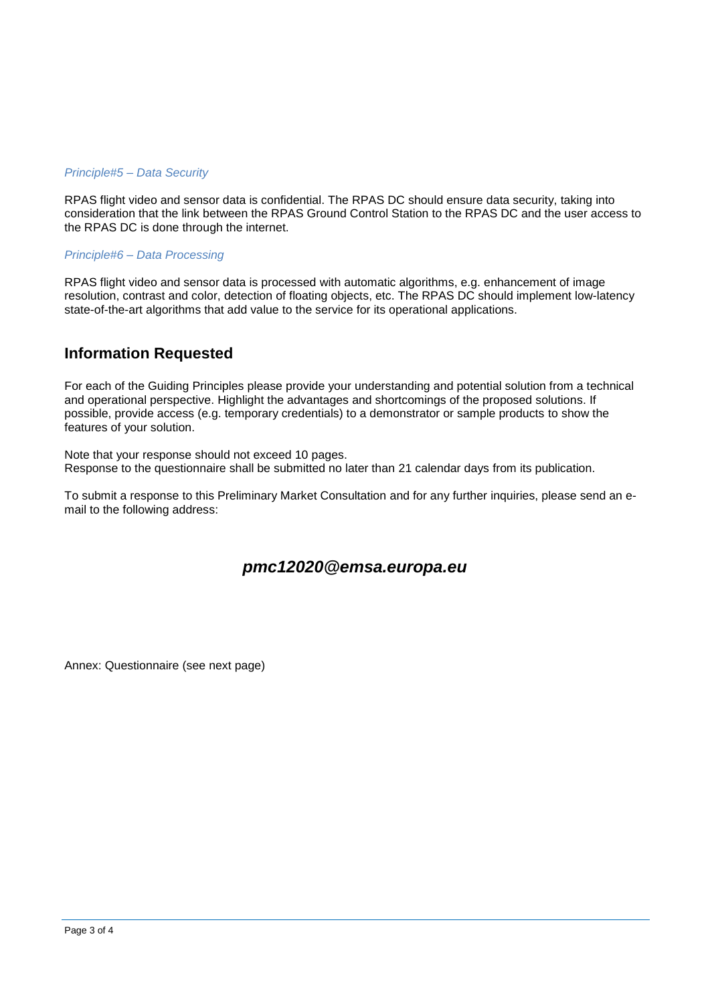#### *Principle#5 – Data Security*

RPAS flight video and sensor data is confidential. The RPAS DC should ensure data security, taking into consideration that the link between the RPAS Ground Control Station to the RPAS DC and the user access to the RPAS DC is done through the internet.

#### *Principle#6 – Data Processing*

RPAS flight video and sensor data is processed with automatic algorithms, e.g. enhancement of image resolution, contrast and color, detection of floating objects, etc. The RPAS DC should implement low-latency state-of-the-art algorithms that add value to the service for its operational applications.

### **Information Requested**

For each of the Guiding Principles please provide your understanding and potential solution from a technical and operational perspective. Highlight the advantages and shortcomings of the proposed solutions. If possible, provide access (e.g. temporary credentials) to a demonstrator or sample products to show the features of your solution.

Note that your response should not exceed 10 pages. Response to the questionnaire shall be submitted no later than 21 calendar days from its publication.

To submit a response to this Preliminary Market Consultation and for any further inquiries, please send an email to the following address:

### *pmc12020@emsa.europa.eu*

Annex: Questionnaire (see next page)